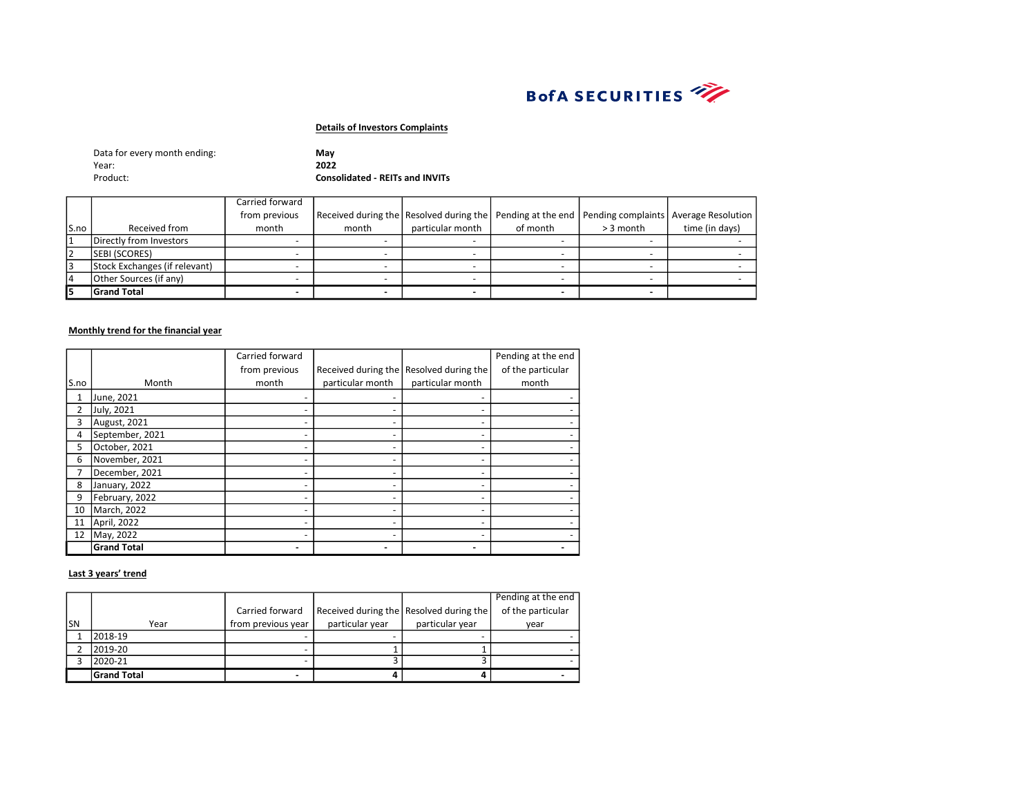

| Data for every month ending: | May                                    |
|------------------------------|----------------------------------------|
| Year:                        | 2022                                   |
| Product:                     | <b>Consolidated - REITs and INVITs</b> |

|       |                               | Carried forward |                                                                                                  |                  |          |             |                |
|-------|-------------------------------|-----------------|--------------------------------------------------------------------------------------------------|------------------|----------|-------------|----------------|
|       |                               | from previous   | Received during the Resolved during the Pending at the end Pending complaints Average Resolution |                  |          |             |                |
| IS.no | Received from                 | month           | month                                                                                            | particular month | of month | $>$ 3 month | time (in days) |
|       | Directly from Investors       |                 |                                                                                                  |                  |          |             |                |
| 2     | <b>SEBI (SCORES)</b>          |                 |                                                                                                  |                  |          |             |                |
| 3     | Stock Exchanges (if relevant) |                 |                                                                                                  |                  |          |             |                |
| 14    | Other Sources (if any)        |                 |                                                                                                  |                  |          |             |                |
|       | <b>Grand Total</b>            |                 |                                                                                                  |                  |          |             |                |

# Monthly trend for the financial year

|      |                    | Carried forward |                  |                                         | Pending at the end |
|------|--------------------|-----------------|------------------|-----------------------------------------|--------------------|
|      |                    | from previous   |                  | Received during the Resolved during the | of the particular  |
| S.no | Month              | month           | particular month | particular month                        | month              |
| 1    | June, 2021         |                 |                  |                                         |                    |
| 2    | July, 2021         |                 |                  |                                         |                    |
| 3    | August, 2021       |                 | -                |                                         |                    |
| 4    | September, 2021    |                 | -                |                                         |                    |
| 5    | October, 2021      |                 |                  |                                         |                    |
| 6    | November, 2021     |                 |                  |                                         |                    |
| 7    | December, 2021     |                 |                  |                                         |                    |
| 8    | January, 2022      |                 |                  |                                         |                    |
| 9    | February, 2022     |                 |                  |                                         |                    |
| 10   | March, 2022        |                 |                  |                                         |                    |
| 11   | April, 2022        |                 |                  |                                         |                    |
| 12   | May, 2022          |                 |                  |                                         |                    |
|      | <b>Grand Total</b> |                 |                  |                                         |                    |

|     |                    |                    |                 |                                           | Pending at the end |
|-----|--------------------|--------------------|-----------------|-------------------------------------------|--------------------|
|     |                    | Carried forward    |                 | Received during the Resolved during the L | of the particular  |
| lsn | Year               | from previous year | particular year | particular year                           | vear               |
|     | 2018-19            |                    |                 |                                           |                    |
|     | 2019-20            |                    |                 |                                           |                    |
|     | 2020-21            |                    |                 |                                           |                    |
|     | <b>Grand Total</b> |                    |                 |                                           |                    |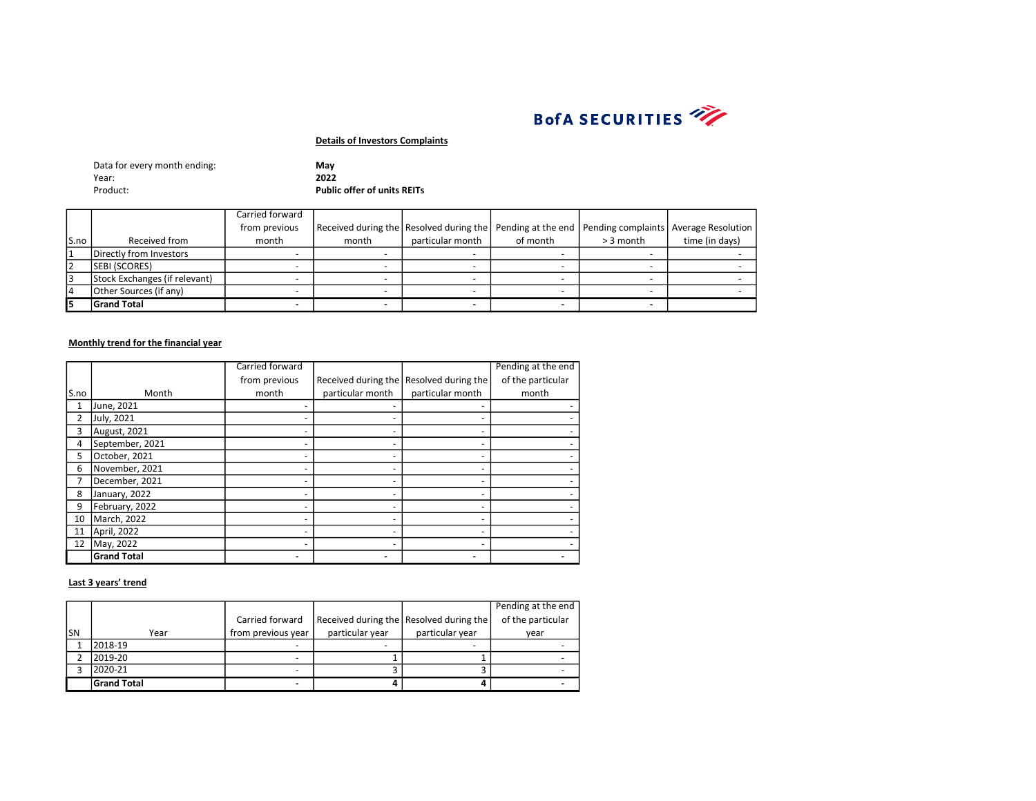

| Data for every month ending: | Mav                |
|------------------------------|--------------------|
| Year:                        | 2022               |
| Product:                     | <b>Public offe</b> |

er of units REITs

|       |                               | Carried forward |       |                                                                                                  |          |             |                |
|-------|-------------------------------|-----------------|-------|--------------------------------------------------------------------------------------------------|----------|-------------|----------------|
|       |                               | from previous   |       | Received during the Resolved during the Pending at the end Pending complaints Average Resolution |          |             |                |
| lS.no | Received from                 | month           | month | particular month                                                                                 | of month | $>$ 3 month | time (in days) |
|       | Directly from Investors       |                 |       |                                                                                                  |          |             |                |
|       | <b>SEBI (SCORES)</b>          |                 |       |                                                                                                  |          |             |                |
|       | Stock Exchanges (if relevant) |                 |       |                                                                                                  |          |             |                |
|       | Other Sources (if any)        |                 |       |                                                                                                  |          |             |                |
|       | <b>Grand Total</b>            |                 |       |                                                                                                  |          |             |                |

#### Monthly trend for the financial year

|      |                    | Carried forward |                  |                                         | Pending at the end |
|------|--------------------|-----------------|------------------|-----------------------------------------|--------------------|
|      |                    | from previous   |                  | Received during the Resolved during the | of the particular  |
| S.no | Month              | month           | particular month | particular month                        | month              |
|      | June, 2021         |                 |                  |                                         |                    |
|      | July, 2021         |                 |                  |                                         |                    |
| 3    | August, 2021       |                 |                  |                                         |                    |
| 4    | September, 2021    |                 |                  |                                         |                    |
| 5    | October, 2021      |                 |                  |                                         |                    |
| 6    | November, 2021     |                 |                  |                                         |                    |
|      | December, 2021     |                 |                  |                                         |                    |
| 8    | January, 2022      |                 |                  |                                         |                    |
| 9    | February, 2022     |                 |                  |                                         |                    |
| 10   | March, 2022        |                 |                  |                                         |                    |
| 11   | April, 2022        |                 |                  |                                         |                    |
| 12   | May, 2022          |                 |                  |                                         |                    |
|      | <b>Grand Total</b> |                 |                  |                                         |                    |

|     |                    |                    |                 |                                         | Pending at the end |
|-----|--------------------|--------------------|-----------------|-----------------------------------------|--------------------|
|     |                    | Carried forward    |                 | Received during the Resolved during the | of the particular  |
| lsn | Year               | from previous year | particular year | particular year                         | vear               |
|     | 2018-19            |                    |                 |                                         |                    |
|     | 2019-20            | -                  |                 |                                         |                    |
|     | 2020-21            |                    |                 |                                         |                    |
|     | <b>Grand Total</b> |                    |                 |                                         |                    |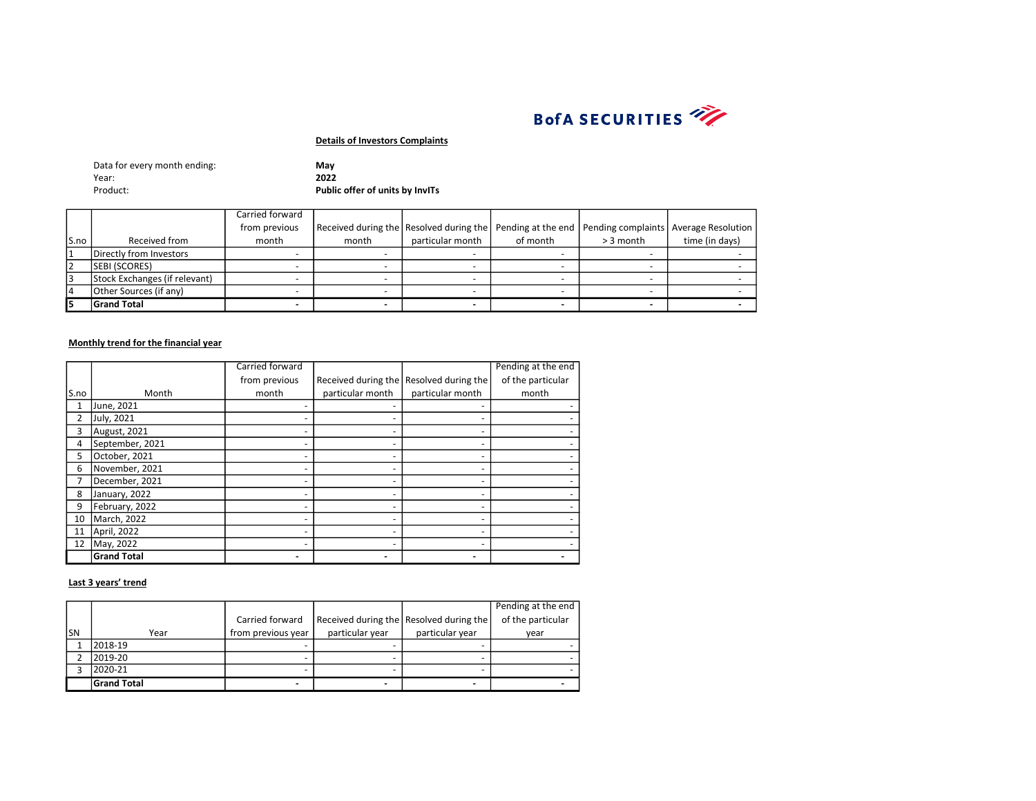

| Data for every month ending: | Mav                             |
|------------------------------|---------------------------------|
| Year:                        | 2022                            |
| Product:                     | Public offer of units by InvITs |

|       |                               | Carried forward |                                                                                                  |                  |          |             |                |
|-------|-------------------------------|-----------------|--------------------------------------------------------------------------------------------------|------------------|----------|-------------|----------------|
|       |                               | from previous   | Received during the Resolved during the Pending at the end Pending complaints Average Resolution |                  |          |             |                |
| lS.no | Received from                 | month           | month                                                                                            | particular month | of month | $> 3$ month | time (in days) |
|       | Directly from Investors       |                 |                                                                                                  |                  |          |             |                |
| l2    | <b>SEBI (SCORES)</b>          |                 |                                                                                                  |                  |          |             |                |
| l3    | Stock Exchanges (if relevant) |                 |                                                                                                  |                  |          |             |                |
| 14    | Other Sources (if any)        |                 |                                                                                                  |                  |          |             |                |
| l5    | <b>Grand Total</b>            |                 |                                                                                                  |                  |          |             |                |

#### Monthly trend for the financial year

|      |                    | Carried forward |                  |                                         | Pending at the end |
|------|--------------------|-----------------|------------------|-----------------------------------------|--------------------|
|      |                    | from previous   |                  | Received during the Resolved during the | of the particular  |
| S.no | Month              | month           | particular month | particular month                        | month              |
|      | June, 2021         |                 |                  |                                         |                    |
|      | July, 2021         |                 |                  |                                         |                    |
| 3    | August, 2021       |                 |                  |                                         |                    |
| 4    | September, 2021    |                 |                  |                                         |                    |
| 5    | October, 2021      |                 |                  |                                         |                    |
| 6    | November, 2021     |                 |                  |                                         |                    |
|      | December, 2021     |                 |                  |                                         |                    |
| 8    | January, 2022      |                 |                  |                                         |                    |
| 9    | February, 2022     |                 |                  |                                         |                    |
| 10   | March, 2022        |                 |                  |                                         |                    |
| 11   | April, 2022        |                 |                  |                                         |                    |
| 12   | May, 2022          |                 |                  |                                         |                    |
|      | <b>Grand Total</b> |                 |                  |                                         |                    |

|     |                    |                    |                 |                                         | Pending at the end |
|-----|--------------------|--------------------|-----------------|-----------------------------------------|--------------------|
|     |                    | Carried forward    |                 | Received during the Resolved during the | of the particular  |
| lsn | Year               | from previous year | particular year | particular year                         | vear               |
|     | 2018-19            |                    |                 |                                         |                    |
|     | 2019-20            |                    | -               |                                         |                    |
|     | 2020-21            |                    |                 |                                         |                    |
|     | <b>Grand Total</b> |                    |                 |                                         |                    |